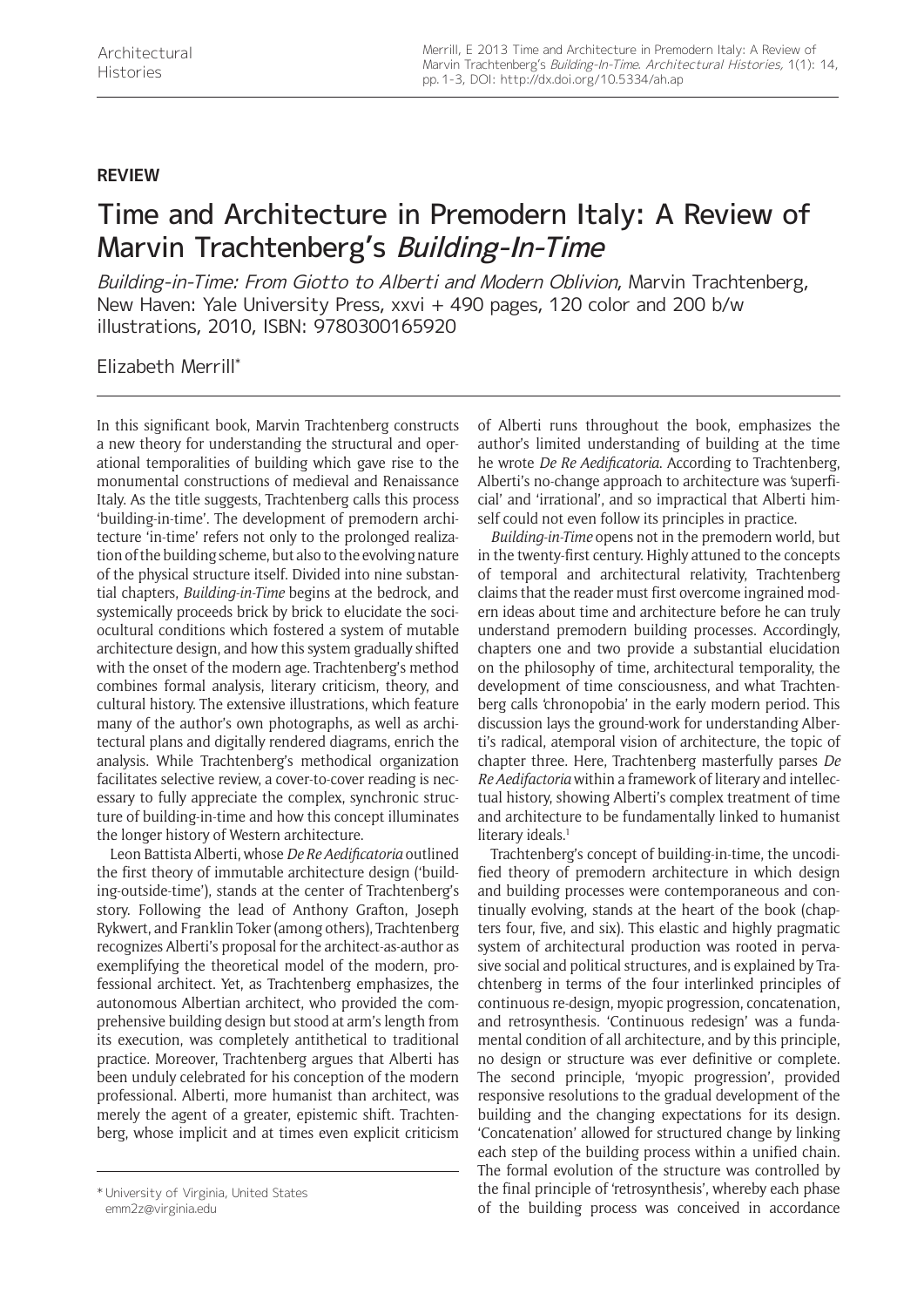## **REVIEW**

## Time and Architecture in Premodern Italy: A Review of Marvin Trachtenberg's Building-In-Time

Building-in-Time: From Giotto to Alberti and Modern Oblivion, Marvin Trachtenberg, New Haven: Yale University Press, xxvi + 490 pages, 120 color and 200 b/w illustrations, 2010, ISBN: 9780300165920

Elizabeth Merrill\*

In this significant book, Marvin Trachtenberg constructs a new theory for understanding the structural and operational temporalities of building which gave rise to the monumental constructions of medieval and Renaissance Italy. As the title suggests, Trachtenberg calls this process 'building-in-time'. The development of premodern architecture 'in-time' refers not only to the prolonged realization of the building scheme, but also to the evolving nature of the physical structure itself. Divided into nine substantial chapters, *Building-in-Time* begins at the bedrock, and systemically proceeds brick by brick to elucidate the sociocultural conditions which fostered a system of mutable architecture design, and how this system gradually shifted with the onset of the modern age. Trachtenberg's method combines formal analysis, literary criticism, theory, and cultural history. The extensive illustrations, which feature many of the author's own photographs, as well as architectural plans and digitally rendered diagrams, enrich the analysis. While Trachtenberg's methodical organization facilitates selective review, a cover-to-cover reading is necessary to fully appreciate the complex, synchronic structure of building-in-time and how this concept illuminates the longer history of Western architecture.

Leon Battista Alberti, whose *De Re Aedificatoria* outlined the first theory of immutable architecture design ('building-outside-time'), stands at the center of Trachtenberg's story. Following the lead of Anthony Grafton, Joseph Rykwert, and Franklin Toker (among others), Trachtenberg recognizes Alberti's proposal for the architect-as-author as exemplifying the theoretical model of the modern, professional architect. Yet, as Trachtenberg emphasizes, the autonomous Albertian architect, who provided the comprehensive building design but stood at arm's length from its execution, was completely antithetical to traditional practice. Moreover, Trachtenberg argues that Alberti has been unduly celebrated for his conception of the modern professional. Alberti, more humanist than architect, was merely the agent of a greater, epistemic shift. Trachtenberg, whose implicit and at times even explicit criticism

of Alberti runs throughout the book, emphasizes the author's limited understanding of building at the time he wrote *De Re Aedificatoria*. According to Trachtenberg, Alberti's no-change approach to architecture was 'superficial' and 'irrational', and so impractical that Alberti himself could not even follow its principles in practice.

*Building-in-Time* opens not in the premodern world, but in the twenty-first century. Highly attuned to the concepts of temporal and architectural relativity, Trachtenberg claims that the reader must first overcome ingrained modern ideas about time and architecture before he can truly understand premodern building processes. Accordingly, chapters one and two provide a substantial elucidation on the philosophy of time, architectural temporality, the development of time consciousness, and what Trachtenberg calls 'chronopobia' in the early modern period. This discussion lays the ground-work for understanding Alberti's radical, atemporal vision of architecture, the topic of chapter three. Here, Trachtenberg masterfully parses *De Re Aedifactoria* within a framework of literary and intellectual history, showing Alberti's complex treatment of time and architecture to be fundamentally linked to humanist literary ideals.<sup>1</sup>

Trachtenberg's concept of building-in-time, the uncodified theory of premodern architecture in which design and building processes were contemporaneous and continually evolving, stands at the heart of the book (chapters four, five, and six). This elastic and highly pragmatic system of architectural production was rooted in pervasive social and political structures, and is explained by Trachtenberg in terms of the four interlinked principles of continuous re-design, myopic progression, concatenation, and retrosynthesis. 'Continuous redesign' was a fundamental condition of all architecture, and by this principle, no design or structure was ever definitive or complete. The second principle, 'myopic progression', provided responsive resolutions to the gradual development of the building and the changing expectations for its design. 'Concatenation' allowed for structured change by linking each step of the building process within a unified chain. The formal evolution of the structure was controlled by the final principle of 'retrosynthesis', whereby each phase the final principle of 'retrosynthesis', whereby each phase the building process was conceived in accordance \*<br>of the building process was conceived in accordance

[emm2z@virginia.edu](mailto:emm2z@virginia.edu)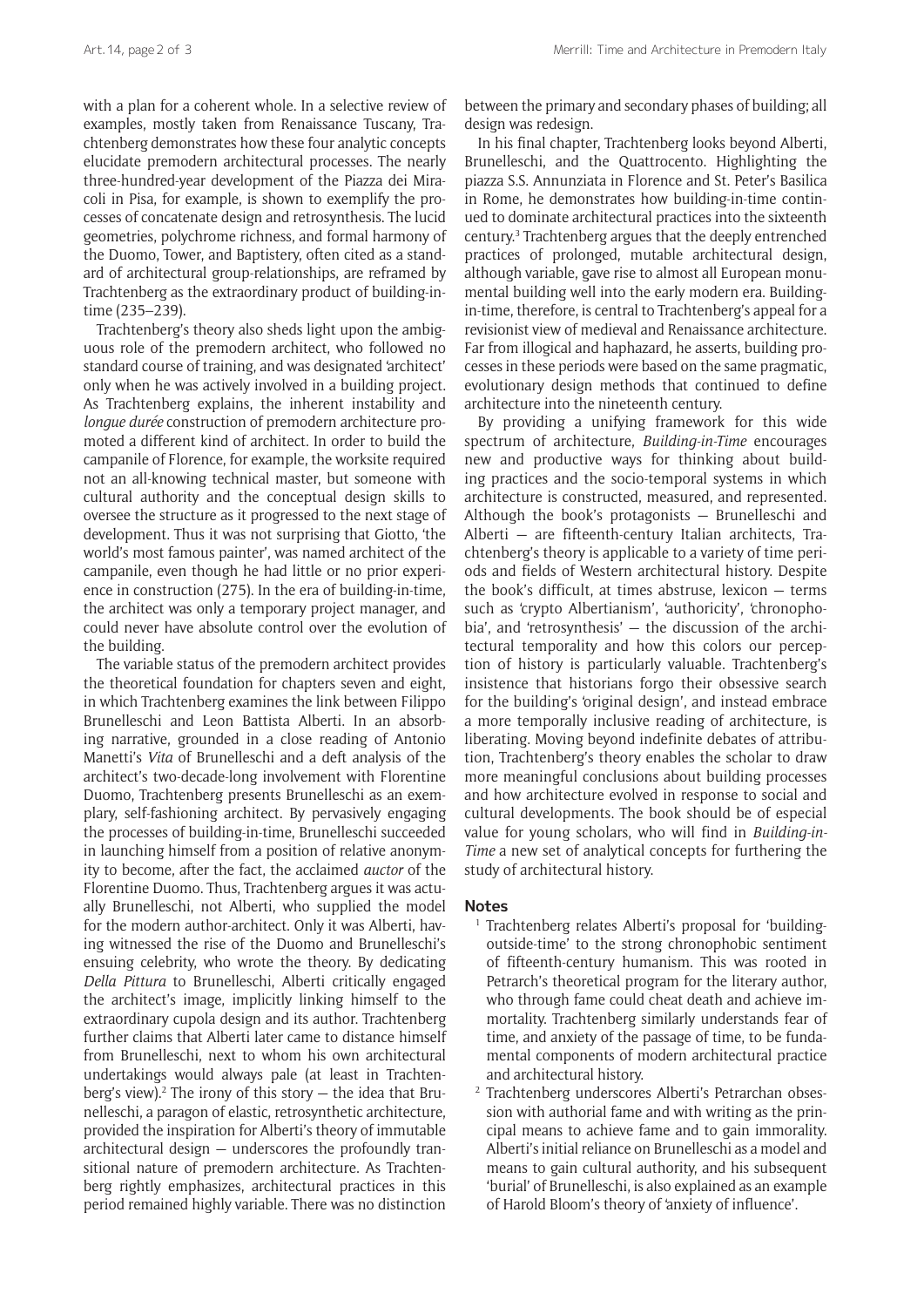with a plan for a coherent whole. In a selective review of examples, mostly taken from Renaissance Tuscany, Trachtenberg demonstrates how these four analytic concepts elucidate premodern architectural processes. The nearly three-hundred-year development of the Piazza dei Miracoli in Pisa, for example, is shown to exemplify the processes of concatenate design and retrosynthesis. The lucid geometries, polychrome richness, and formal harmony of the Duomo, Tower, and Baptistery, often cited as a standard of architectural group-relationships, are reframed by Trachtenberg as the extraordinary product of building-intime (235–239).

Trachtenberg's theory also sheds light upon the ambiguous role of the premodern architect, who followed no standard course of training, and was designated 'architect' only when he was actively involved in a building project. As Trachtenberg explains, the inherent instability and *longue durée* construction of premodern architecture promoted a different kind of architect. In order to build the campanile of Florence, for example, the worksite required not an all-knowing technical master, but someone with cultural authority and the conceptual design skills to oversee the structure as it progressed to the next stage of development. Thus it was not surprising that Giotto, 'the world's most famous painter', was named architect of the campanile, even though he had little or no prior experience in construction (275). In the era of building-in-time, the architect was only a temporary project manager, and could never have absolute control over the evolution of the building.

The variable status of the premodern architect provides the theoretical foundation for chapters seven and eight, in which Trachtenberg examines the link between Filippo Brunelleschi and Leon Battista Alberti. In an absorbing narrative, grounded in a close reading of Antonio Manetti's *Vita* of Brunelleschi and a deft analysis of the architect's two-decade-long involvement with Florentine Duomo, Trachtenberg presents Brunelleschi as an exemplary, self-fashioning architect. By pervasively engaging the processes of building-in-time, Brunelleschi succeeded in launching himself from a position of relative anonymity to become, after the fact, the acclaimed *auctor* of the Florentine Duomo. Thus, Trachtenberg argues it was actually Brunelleschi, not Alberti, who supplied the model for the modern author-architect. Only it was Alberti, having witnessed the rise of the Duomo and Brunelleschi's ensuing celebrity, who wrote the theory. By dedicating *Della Pittura* to Brunelleschi, Alberti critically engaged the architect's image, implicitly linking himself to the extraordinary cupola design and its author. Trachtenberg further claims that Alberti later came to distance himself from Brunelleschi, next to whom his own architectural undertakings would always pale (at least in Trachtenberg's view).<sup>2</sup> The irony of this story  $-$  the idea that Brunelleschi, a paragon of elastic, retrosynthetic architecture, provided the inspiration for Alberti's theory of immutable architectural design — underscores the profoundly transitional nature of premodern architecture. As Trachtenberg rightly emphasizes, architectural practices in this period remained highly variable. There was no distinction

between the primary and secondary phases of building; all design was redesign.

In his final chapter, Trachtenberg looks beyond Alberti, Brunelleschi, and the Quattrocento. Highlighting the piazza S.S. Annunziata in Florence and St. Peter's Basilica in Rome, he demonstrates how building-in-time continued to dominate architectural practices into the sixteenth century.3 Trachtenberg argues that the deeply entrenched practices of prolonged, mutable architectural design, although variable, gave rise to almost all European monumental building well into the early modern era. Buildingin-time, therefore, is central to Trachtenberg's appeal for a revisionist view of medieval and Renaissance architecture. Far from illogical and haphazard, he asserts, building processes in these periods were based on the same pragmatic, evolutionary design methods that continued to define architecture into the nineteenth century.

By providing a unifying framework for this wide spectrum of architecture, *Building-in-Time* encourages new and productive ways for thinking about building practices and the socio-temporal systems in which architecture is constructed, measured, and represented. Although the book's protagonists — Brunelleschi and Alberti — are fifteenth-century Italian architects, Trachtenberg's theory is applicable to a variety of time periods and fields of Western architectural history. Despite the book's difficult, at times abstruse, lexicon — terms such as 'crypto Albertianism', 'authoricity', 'chronophobia', and 'retrosynthesis' — the discussion of the architectural temporality and how this colors our perception of history is particularly valuable. Trachtenberg's insistence that historians forgo their obsessive search for the building's 'original design', and instead embrace a more temporally inclusive reading of architecture, is liberating. Moving beyond indefinite debates of attribution, Trachtenberg's theory enables the scholar to draw more meaningful conclusions about building processes and how architecture evolved in response to social and cultural developments. The book should be of especial value for young scholars, who will find in *Building-in-Time* a new set of analytical concepts for furthering the study of architectural history.

## **Notes**

- <sup>1</sup> Trachtenberg relates Alberti's proposal for 'buildingoutside-time' to the strong chronophobic sentiment of fifteenth-century humanism. This was rooted in Petrarch's theoretical program for the literary author, who through fame could cheat death and achieve immortality. Trachtenberg similarly understands fear of time, and anxiety of the passage of time, to be fundamental components of modern architectural practice and architectural history.
- <sup>2</sup> Trachtenberg underscores Alberti's Petrarchan obsession with authorial fame and with writing as the principal means to achieve fame and to gain immorality. Alberti's initial reliance on Brunelleschi as a model and means to gain cultural authority, and his subsequent 'burial' of Brunelleschi, is also explained as an example of Harold Bloom's theory of 'anxiety of influence'.